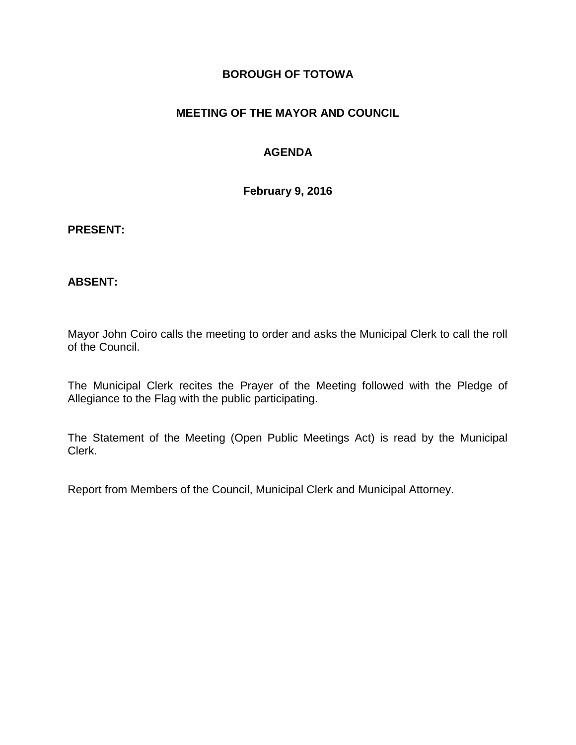## **BOROUGH OF TOTOWA**

## **MEETING OF THE MAYOR AND COUNCIL**

# **AGENDA**

**February 9, 2016**

#### **PRESENT:**

### **ABSENT:**

Mayor John Coiro calls the meeting to order and asks the Municipal Clerk to call the roll of the Council.

The Municipal Clerk recites the Prayer of the Meeting followed with the Pledge of Allegiance to the Flag with the public participating.

The Statement of the Meeting (Open Public Meetings Act) is read by the Municipal Clerk.

Report from Members of the Council, Municipal Clerk and Municipal Attorney.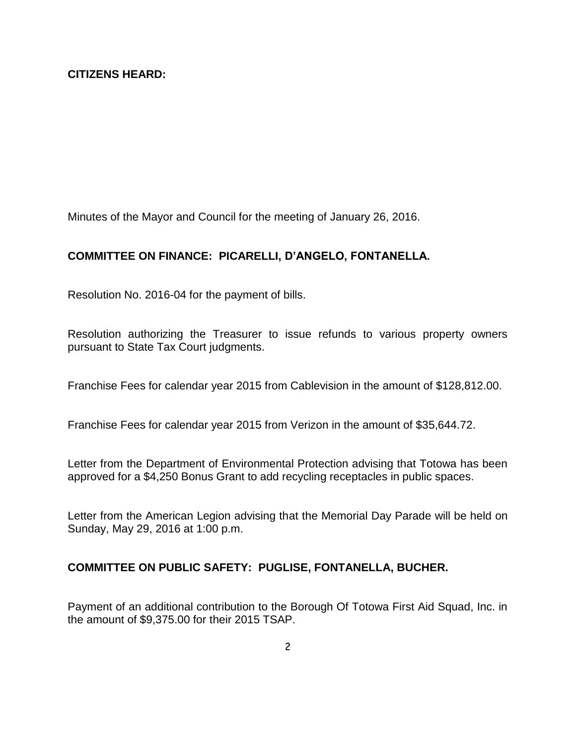Minutes of the Mayor and Council for the meeting of January 26, 2016.

### **COMMITTEE ON FINANCE: PICARELLI, D'ANGELO, FONTANELLA.**

Resolution No. 2016-04 for the payment of bills.

Resolution authorizing the Treasurer to issue refunds to various property owners pursuant to State Tax Court judgments.

Franchise Fees for calendar year 2015 from Cablevision in the amount of \$128,812.00.

Franchise Fees for calendar year 2015 from Verizon in the amount of \$35,644.72.

Letter from the Department of Environmental Protection advising that Totowa has been approved for a \$4,250 Bonus Grant to add recycling receptacles in public spaces.

Letter from the American Legion advising that the Memorial Day Parade will be held on Sunday, May 29, 2016 at 1:00 p.m.

### **COMMITTEE ON PUBLIC SAFETY: PUGLISE, FONTANELLA, BUCHER.**

Payment of an additional contribution to the Borough Of Totowa First Aid Squad, Inc. in the amount of \$9,375.00 for their 2015 TSAP.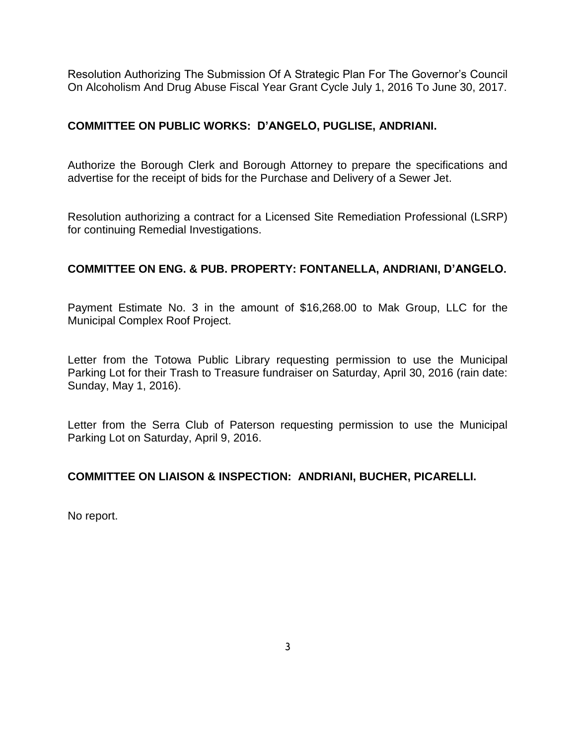Resolution Authorizing The Submission Of A Strategic Plan For The Governor's Council On Alcoholism And Drug Abuse Fiscal Year Grant Cycle July 1, 2016 To June 30, 2017.

### **COMMITTEE ON PUBLIC WORKS: D'ANGELO, PUGLISE, ANDRIANI.**

Authorize the Borough Clerk and Borough Attorney to prepare the specifications and advertise for the receipt of bids for the Purchase and Delivery of a Sewer Jet.

Resolution authorizing a contract for a Licensed Site Remediation Professional (LSRP) for continuing Remedial Investigations.

## **COMMITTEE ON ENG. & PUB. PROPERTY: FONTANELLA, ANDRIANI, D'ANGELO.**

Payment Estimate No. 3 in the amount of \$16,268.00 to Mak Group, LLC for the Municipal Complex Roof Project.

Letter from the Totowa Public Library requesting permission to use the Municipal Parking Lot for their Trash to Treasure fundraiser on Saturday, April 30, 2016 (rain date: Sunday, May 1, 2016).

Letter from the Serra Club of Paterson requesting permission to use the Municipal Parking Lot on Saturday, April 9, 2016.

### **COMMITTEE ON LIAISON & INSPECTION: ANDRIANI, BUCHER, PICARELLI.**

No report.